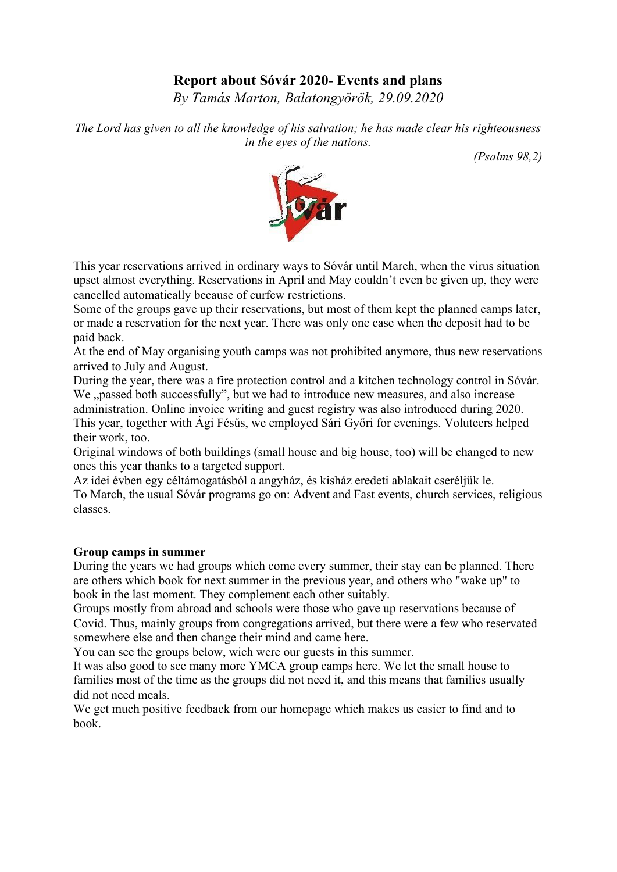# **Report about Sóvár 2020- Events and plans**

*By Tamás Marton, Balatongyörök, 29.09.2020*

*The Lord has given to all the knowledge of his salvation; he has made clear his righteousness in the eyes of the nations.*

 *(Psalms 98,2)*



This year reservations arrived in ordinary ways to Sóvár until March, when the virus situation upset almost everything. Reservations in April and May couldn't even be given up, they were cancelled automatically because of curfew restrictions.

Some of the groups gave up their reservations, but most of them kept the planned camps later, or made a reservation for the next year. There was only one case when the deposit had to be paid back.

At the end of May organising youth camps was not prohibited anymore, thus new reservations arrived to July and August.

During the year, there was a fire protection control and a kitchen technology control in Sóvár. We "passed both successfully", but we had to introduce new measures, and also increase administration. Online invoice writing and guest registry was also introduced during 2020. This year, together with Ági Fésűs, we employed Sári Győri for evenings. Voluteers helped their work, too.

Original windows of both buildings (small house and big house, too) will be changed to new ones this year thanks to a targeted support.

Az idei évben egy céltámogatásból a angyház, és kisház eredeti ablakait cseréljük le. To March, the usual Sóvár programs go on: Advent and Fast events, church services, religious classes.

## **Group camps in summer**

During the years we had groups which come every summer, their stay can be planned. There are others which book for next summer in the previous year, and others who "wake up" to book in the last moment. They complement each other suitably.

Groups mostly from abroad and schools were those who gave up reservations because of Covid. Thus, mainly groups from congregations arrived, but there were a few who reservated somewhere else and then change their mind and came here.

You can see the groups below, wich were our guests in this summer.

It was also good to see many more YMCA group camps here. We let the small house to families most of the time as the groups did not need it, and this means that families usually did not need meals.

We get much positive feedback from our homepage which makes us easier to find and to book.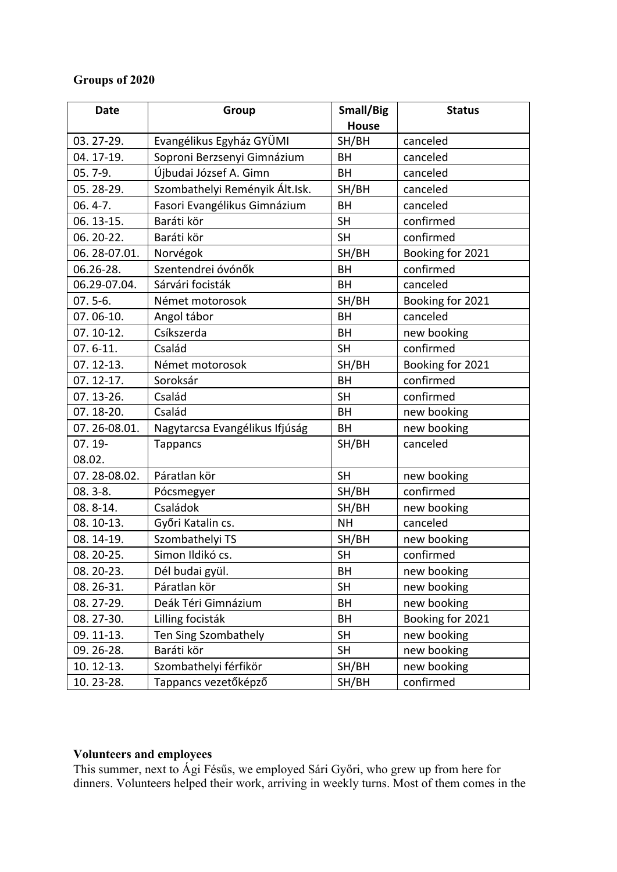# **Groups of 2020**

| <b>Date</b>   | <b>Group</b>                   | Small/Big    | <b>Status</b>    |
|---------------|--------------------------------|--------------|------------------|
|               |                                | <b>House</b> |                  |
| 03.27-29.     | Evangélikus Egyház GYÜMI       | SH/BH        | canceled         |
| 04. 17-19.    | Soproni Berzsenyi Gimnázium    | <b>BH</b>    | canceled         |
| 05.7-9.       | Újbudai József A. Gimn         | <b>BH</b>    | canceled         |
| 05.28-29.     | Szombathelyi Reményik Ált.Isk. | SH/BH        | canceled         |
| $06.4 - 7.$   | Fasori Evangélikus Gimnázium   | <b>BH</b>    | canceled         |
| 06. 13-15.    | Baráti kör                     | <b>SH</b>    | confirmed        |
| 06.20-22.     | Baráti kör                     | <b>SH</b>    | confirmed        |
| 06.28-07.01.  | Norvégok                       | SH/BH        | Booking for 2021 |
| 06.26-28.     | Szentendrei óvónők             | <b>BH</b>    | confirmed        |
| 06.29-07.04.  | Sárvári focisták               | <b>BH</b>    | canceled         |
| $07.5 - 6.$   | Német motorosok                | SH/BH        | Booking for 2021 |
| 07.06-10.     | Angol tábor                    | <b>BH</b>    | canceled         |
| 07.10-12.     | Csíkszerda                     | <b>BH</b>    | new booking      |
| $07.6 - 11.$  | Család                         | <b>SH</b>    | confirmed        |
| 07.12-13.     | Német motorosok                | SH/BH        | Booking for 2021 |
| $07.12 - 17.$ | Soroksár                       | BH           | confirmed        |
| 07.13-26.     | Család                         | <b>SH</b>    | confirmed        |
| 07.18-20.     | Család                         | BH           | new booking      |
| 07.26-08.01.  | Nagytarcsa Evangélikus Ifjúság | <b>BH</b>    | new booking      |
| $07.19 -$     | <b>Tappancs</b>                | SH/BH        | canceled         |
| 08.02.        |                                |              |                  |
| 07.28-08.02.  | Páratlan kör                   | <b>SH</b>    | new booking      |
| $08.3 - 8.$   | Pócsmegyer                     | SH/BH        | confirmed        |
| 08.8-14.      | Családok                       | SH/BH        | new booking      |
| 08.10-13.     | Győri Katalin cs.              | <b>NH</b>    | canceled         |
| 08.14-19.     | Szombathelyi TS                | SH/BH        | new booking      |
| 08.20-25.     | Simon Ildikó cs.               | <b>SH</b>    | confirmed        |
| 08. 20-23.    | Dél budai gyül.                | BH           | new booking      |
| 08.26-31.     | Páratlan kör                   | <b>SH</b>    | new booking      |
| 08.27-29.     | Deák Téri Gimnázium            | BH           | new booking      |
| 08.27-30.     | Lilling focisták               | BH           | Booking for 2021 |
| 09.11-13.     | Ten Sing Szombathely           | <b>SH</b>    | new booking      |
| 09.26-28.     | Baráti kör                     | <b>SH</b>    | new booking      |
| 10. 12-13.    | Szombathelyi férfikör          | SH/BH        | new booking      |
| 10.23-28.     | Tappancs vezetőképző           | SH/BH        | confirmed        |

#### **Volunteers and employees**

This summer, next to Ági Fésűs, we employed Sári Győri, who grew up from here for dinners. Volunteers helped their work, arriving in weekly turns. Most of them comes in the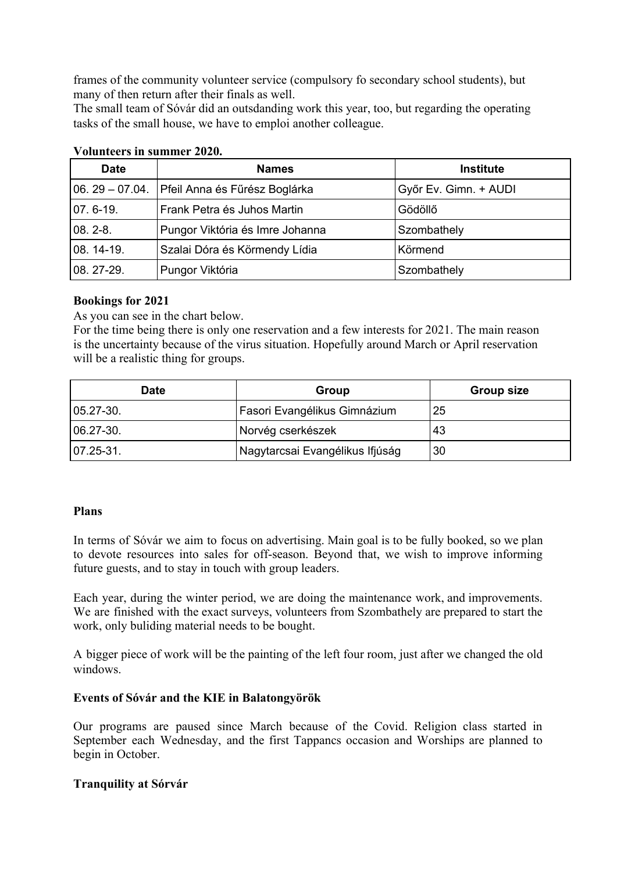frames of the community volunteer service (compulsory fo secondary school students), but many of then return after their finals as well.

The small team of Sóvár did an outsdanding work this year, too, but regarding the operating tasks of the small house, we have to emploi another colleague.

| <b>Date</b>      | <b>Names</b>                    | <b>Institute</b>      |
|------------------|---------------------------------|-----------------------|
| $06.29 - 07.04.$ | Pfeil Anna és Fűrész Boglárka   | Győr Ev. Gimn. + AUDI |
| 07.6-19.         | Frank Petra és Juhos Martin     | Gödöllő               |
| $08.2 - 8.$      | Pungor Viktória és Imre Johanna | Szombathely           |
| 08. 14-19.       | Szalai Dóra és Körmendy Lídia   | Körmend               |
| 08.27-29.        | Pungor Viktória                 | Szombathely           |

## **Volunteers in summer 2020.**

## **Bookings for 2021**

As you can see in the chart below.

For the time being there is only one reservation and a few interests for 2021. The main reason is the uncertainty because of the virus situation. Hopefully around March or April reservation will be a realistic thing for groups.

| <b>Date</b>    | Group                           | <b>Group size</b> |
|----------------|---------------------------------|-------------------|
| $05.27 - 30.$  | Fasori Evangélikus Gimnázium    | 25                |
| 06.27-30.      | Norvég cserkészek               | -43               |
| $ 07.25 - 31.$ | Nagytarcsai Evangélikus Ifjúság | 30                |

## **Plans**

In terms of Sóvár we aim to focus on advertising. Main goal is to be fully booked, so we plan to devote resources into sales for off-season. Beyond that, we wish to improve informing future guests, and to stay in touch with group leaders.

Each year, during the winter period, we are doing the maintenance work, and improvements. We are finished with the exact surveys, volunteers from Szombathely are prepared to start the work, only buliding material needs to be bought.

A bigger piece of work will be the painting of the left four room, just after we changed the old windows.

## **Events of Sóvár and the KIE in Balatongyörök**

Our programs are paused since March because of the Covid. Religion class started in September each Wednesday, and the first Tappancs occasion and Worships are planned to begin in October.

## **Tranquility at Sórvár**